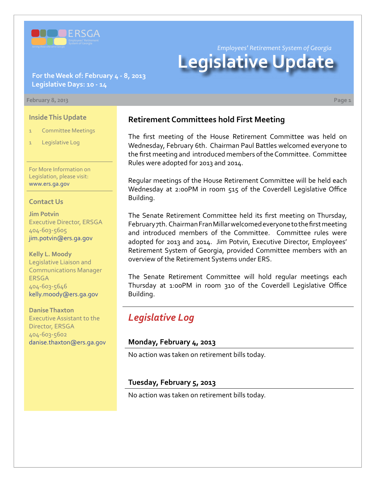

*Employees' Retirement System of Georgia*

# **Legislative Update**

#### **For the Week of: February 4 - 8, 2013 Legislative Days: 10 - 14**

#### **February 8, 2013 Page 1**

**Inside This Update**

- **Committee Meetings**
- Legislative Log

For More Information on Legislation, please visit: [www.ers.ga.gov](http://www.ers.ga.gov/default.aspx)

#### **Contact Us**

**Jim Potvin** Executive Director, ERSGA 404-603-5605 jim.potvin@ers.ga.gov

**Kelly L. Moody** Legislative Liaison and Communications Manager ERSGA 404-603-5646 kelly.moody@ers.ga.gov

**Danise Thaxton** Executive Assistant to the Director, ERSGA 404-603-5602 danise.thaxton@ers.ga.gov

## **Retirement Committees hold First Meeting**

The first meeting of the House Retirement Committee was held on Wednesday, February 6th. Chairman Paul Battles welcomed everyone to the first meeting and introduced members of the Committee. Committee Rules were adopted for 2013 and 2014.

Regular meetings of the House Retirement Committee will be held each Wednesday at 2:00PM in room 515 of the Coverdell Legislative Office Building.

The Senate Retirement Committee held its first meeting on Thursday, February 7th. Chairman Fran Millar welcomed everyone to the first meeting and introduced members of the Committee. Committee rules were adopted for 2013 and 2014. Jim Potvin, Executive Director, Employees' Retirement System of Georgia, provided Committee members with an overview of the Retirement Systems under ERS.

The Senate Retirement Committee will hold regular meetings each Thursday at 1:00PM in room 310 of the Coverdell Legislative Office Building.

# *Legislative Log*

#### **Monday, February 4, 2013**

No action was taken on retirement bills today.

#### **Tuesday, February 5, 2013**

No action was taken on retirement bills today.